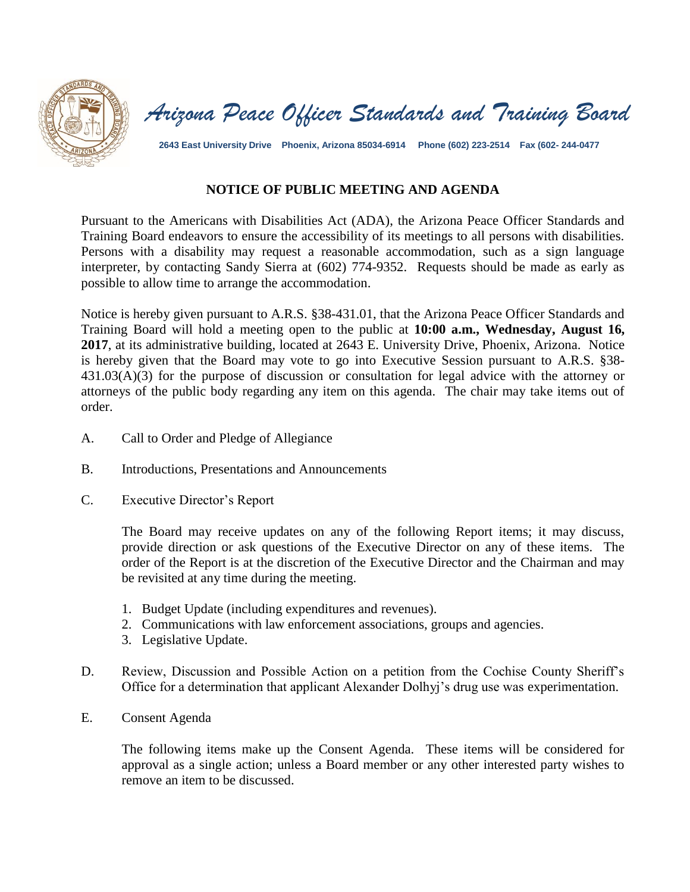



**2643 East University Drive Phoenix, Arizona 85034-6914 Phone (602) 223-2514 Fax (602- 244-0477**

## **NOTICE OF PUBLIC MEETING AND AGENDA**

Pursuant to the Americans with Disabilities Act (ADA), the Arizona Peace Officer Standards and Training Board endeavors to ensure the accessibility of its meetings to all persons with disabilities. Persons with a disability may request a reasonable accommodation, such as a sign language interpreter, by contacting Sandy Sierra at (602) 774-9352. Requests should be made as early as possible to allow time to arrange the accommodation.

Notice is hereby given pursuant to A.R.S. §38-431.01, that the Arizona Peace Officer Standards and Training Board will hold a meeting open to the public at **10:00 a.m., Wednesday, August 16, 2017**, at its administrative building, located at 2643 E. University Drive, Phoenix, Arizona. Notice is hereby given that the Board may vote to go into Executive Session pursuant to A.R.S. §38- 431.03(A)(3) for the purpose of discussion or consultation for legal advice with the attorney or attorneys of the public body regarding any item on this agenda. The chair may take items out of order.

- A. Call to Order and Pledge of Allegiance
- B. Introductions, Presentations and Announcements
- C. Executive Director's Report

The Board may receive updates on any of the following Report items; it may discuss, provide direction or ask questions of the Executive Director on any of these items. The order of the Report is at the discretion of the Executive Director and the Chairman and may be revisited at any time during the meeting.

- 1. Budget Update (including expenditures and revenues).
- 2. Communications with law enforcement associations, groups and agencies.
- 3. Legislative Update.
- D. Review, Discussion and Possible Action on a petition from the Cochise County Sheriff's Office for a determination that applicant Alexander Dolhyj's drug use was experimentation.
- E. Consent Agenda

The following items make up the Consent Agenda. These items will be considered for approval as a single action; unless a Board member or any other interested party wishes to remove an item to be discussed.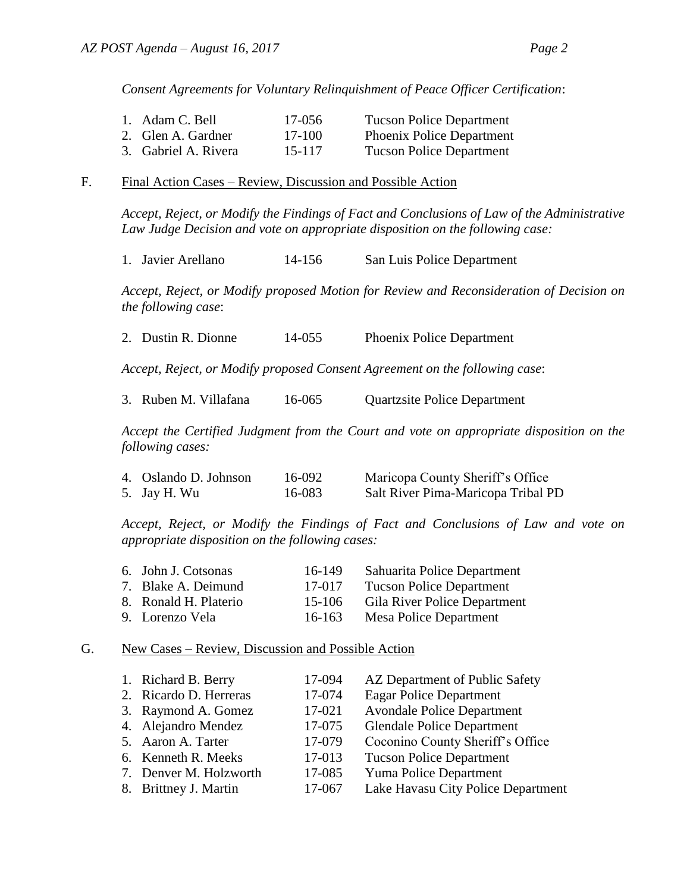*Consent Agreements for Voluntary Relinquishment of Peace Officer Certification*:

| 1. Adam C. Bell      | 17-056 | <b>Tucson Police Department</b>  |
|----------------------|--------|----------------------------------|
| 2. Glen A. Gardner   | 17-100 | <b>Phoenix Police Department</b> |
| 3. Gabriel A. Rivera | 15-117 | <b>Tucson Police Department</b>  |

## F. Final Action Cases – Review, Discussion and Possible Action

*Accept, Reject, or Modify the Findings of Fact and Conclusions of Law of the Administrative Law Judge Decision and vote on appropriate disposition on the following case:*

1. Javier Arellano 14-156 San Luis Police Department

*Accept, Reject, or Modify proposed Motion for Review and Reconsideration of Decision on the following case*:

2. Dustin R. Dionne 14-055 Phoenix Police Department

*Accept, Reject, or Modify proposed Consent Agreement on the following case*:

|  | 3. Ruben M. Villafana | 16-065 | <b>Quartzsite Police Department</b> |
|--|-----------------------|--------|-------------------------------------|
|--|-----------------------|--------|-------------------------------------|

*Accept the Certified Judgment from the Court and vote on appropriate disposition on the following cases:*

| 4. Oslando D. Johnson | 16-092 | Maricopa County Sheriff's Office   |
|-----------------------|--------|------------------------------------|
| 5. Jay H. Wu          | 16-083 | Salt River Pima-Maricopa Tribal PD |

*Accept, Reject, or Modify the Findings of Fact and Conclusions of Law and vote on appropriate disposition on the following cases:*

| 6. John J. Cotsonas   | 16-149     | Sahuarita Police Department     |
|-----------------------|------------|---------------------------------|
| 7. Blake A. Deimund   | 17-017     | <b>Tucson Police Department</b> |
| 8. Ronald H. Platerio | 15-106     | Gila River Police Department    |
| 9. Lorenzo Vela       | $16 - 163$ | Mesa Police Department          |

## G. New Cases – Review, Discussion and Possible Action

| 1. Richard B. Berry    | 17-094 | AZ Department of Public Safety     |
|------------------------|--------|------------------------------------|
|                        |        |                                    |
| 2. Ricardo D. Herreras | 17-074 | <b>Eagar Police Department</b>     |
| 3. Raymond A. Gomez    | 17-021 | <b>Avondale Police Department</b>  |
| 4. Alejandro Mendez    | 17-075 | <b>Glendale Police Department</b>  |
| 5. Aaron A. Tarter     | 17-079 | Coconino County Sheriff's Office   |
| 6. Kenneth R. Meeks    | 17-013 | <b>Tucson Police Department</b>    |
| 7. Denver M. Holzworth | 17-085 | Yuma Police Department             |
| 8. Brittney J. Martin  | 17-067 | Lake Havasu City Police Department |
|                        |        |                                    |